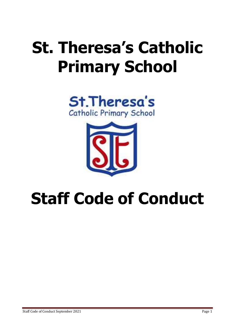# **St. Theresa's Catholic Primary School**





## **Staff Code of Conduct**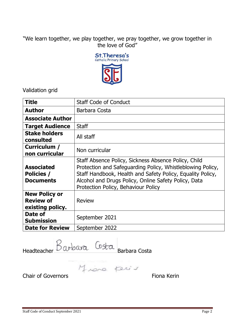## "We learn together, we play together, we pray together, we grow together in the love of God"



Validation grid

| <b>Title</b>                                                 | <b>Staff Code of Conduct</b>                                                                                                                                                                                                                                                    |
|--------------------------------------------------------------|---------------------------------------------------------------------------------------------------------------------------------------------------------------------------------------------------------------------------------------------------------------------------------|
| <b>Author</b>                                                | Barbara Costa                                                                                                                                                                                                                                                                   |
| <b>Associate Author</b>                                      |                                                                                                                                                                                                                                                                                 |
| <b>Target Audience</b>                                       | <b>Staff</b>                                                                                                                                                                                                                                                                    |
| <b>Stake holders</b><br>consulted                            | All staff                                                                                                                                                                                                                                                                       |
| Curriculum /<br>non curricular                               | Non curricular                                                                                                                                                                                                                                                                  |
| <b>Associated</b><br><b>Policies /</b><br><b>Documents</b>   | Staff Absence Policy, Sickness Absence Policy, Child<br>Protection and Safeguarding Policy, Whistleblowing Policy,<br>Staff Handbook, Health and Safety Policy, Equality Policy,<br>Alcohol and Drugs Policy, Online Safety Policy, Data<br>Protection Policy, Behaviour Policy |
| <b>New Policy or</b><br><b>Review of</b><br>existing policy. | <b>Review</b>                                                                                                                                                                                                                                                                   |
| Date of<br><b>Submission</b>                                 | September 2021                                                                                                                                                                                                                                                                  |
| <b>Date for Review</b>                                       | September 2022                                                                                                                                                                                                                                                                  |

Headteacher DW Burden Barbara Costa

Chair of Governors **Fiona** Kerin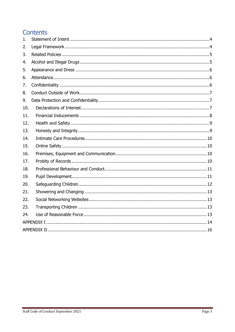## **Contents**

| 1.  |  |  |
|-----|--|--|
| 2.  |  |  |
| 3.  |  |  |
| 4.  |  |  |
| 5.  |  |  |
| 6.  |  |  |
| 7.  |  |  |
| 8.  |  |  |
| 9.  |  |  |
| 10. |  |  |
| 11. |  |  |
| 12. |  |  |
| 13. |  |  |
| 14. |  |  |
| 15. |  |  |
| 16. |  |  |
| 17. |  |  |
| 18. |  |  |
| 19. |  |  |
| 20. |  |  |
| 21. |  |  |
| 22. |  |  |
| 23. |  |  |
| 24. |  |  |
|     |  |  |
|     |  |  |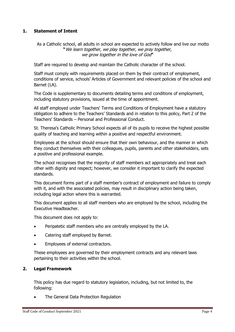## <span id="page-3-0"></span>**1. Statement of Intent**

As a Catholic school, all adults in school are expected to actively follow and live our motto **"**We learn together, we play together, we pray together, we grow together in the love of God**"**

Staff are required to develop and maintain the Catholic character of the school.

Staff must comply with requirements placed on them by their contract of employment, conditions of service, schools' Articles of Government and relevant policies of the school and Barnet (LA).

The Code is supplementary to documents detailing terms and conditions of employment, including statutory provisions, issued at the time of appointment.

All staff employed under Teachers' Terms and Conditions of Employment have a statutory obligation to adhere to the Teachers' Standards and in relation to this policy, Part 2 of the Teachers' Standards – Personal and Professional Conduct.

St. Theresa's Catholic Primary School expects all of its pupils to receive the highest possible quality of teaching and learning within a positive and respectful environment.

Employees at the school should ensure that their own behaviour, and the manner in which they conduct themselves with their colleagues, pupils, parents and other stakeholders, sets a positive and professional example.

The school recognises that the majority of staff members act appropriately and treat each other with dignity and respect; however, we consider it important to clarify the expected standards.

This document forms part of a staff member's contract of employment and failure to comply with it, and with the associated policies, may result in disciplinary action being taken, including legal action where this is warranted.

This document applies to all staff members who are employed by the school, including the Executive Headteacher.

This document does not apply to:

- Peripatetic staff members who are centrally employed by the LA.
- Catering staff employed by Barnet.
- Employees of external contractors.

These employees are governed by their employment contracts and any relevant laws pertaining to their activities within the school.

## <span id="page-3-1"></span>**2. Legal Framework**

This policy has due regard to statutory legislation, including, but not limited to, the following:

The General Data Protection Regulation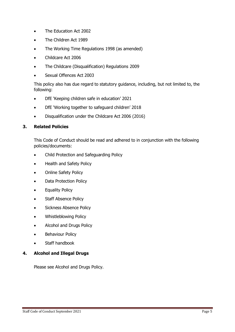- The Education Act 2002
- The Children Act 1989
- The Working Time Regulations 1998 (as amended)
- Childcare Act 2006
- The Childcare (Disqualification) Regulations 2009
- Sexual Offences Act 2003

This policy also has due regard to statutory guidance, including, but not limited to, the following:

- DfE 'Keeping children safe in education' 2021
- DfE 'Working together to safeguard children' 2018
- Disqualification under the Childcare Act 2006 (2016)

## <span id="page-4-0"></span>**3. Related Policies**

This Code of Conduct should be read and adhered to in conjunction with the following policies/documents:

- Child Protection and Safeguarding Policy
- Health and Safety Policy
- Online Safety Policy
- Data Protection Policy
- **•** Equality Policy
- Staff Absence Policy
- Sickness Absence Policy
- Whistleblowing Policy
- Alcohol and Drugs Policy
- Behaviour Policy
- Staff handbook

## <span id="page-4-1"></span>**4. Alcohol and Illegal Drugs**

Please see Alcohol and Drugs Policy.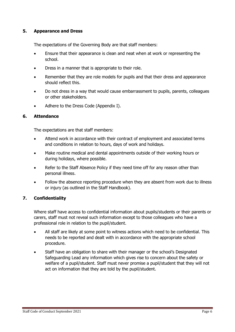## <span id="page-5-0"></span>**5. Appearance and Dress**

The expectations of the Governing Body are that staff members:

- Ensure that their appearance is clean and neat when at work or representing the school.
- Dress in a manner that is appropriate to their role.
- Remember that they are role models for pupils and that their dress and appearance should reflect this.
- Do not dress in a way that would cause embarrassment to pupils, parents, colleagues or other stakeholders.
- Adhere to the Dress Code (Appendix I).

## <span id="page-5-1"></span>**6. Attendance**

The expectations are that staff members:

- Attend work in accordance with their contract of employment and associated terms and conditions in relation to hours, days of work and holidays.
- Make routine medical and dental appointments outside of their working hours or during holidays, where possible.
- Refer to the Staff Absence Policy if they need time off for any reason other than personal illness.
- Follow the absence reporting procedure when they are absent from work due to illness or injury (as outlined in the Staff Handbook).

## <span id="page-5-2"></span>**7. Confidentiality**

Where staff have access to confidential information about pupils/students or their parents or carers, staff must not reveal such information except to those colleagues who have a professional role in relation to the pupil/student.

- All staff are likely at some point to witness actions which need to be confidential. This needs to be reported and dealt with in accordance with the appropriate school procedure.
- Staff have an obligation to share with their manager or the school's Designated Safeguarding Lead any information which gives rise to concern about the safety or welfare of a pupil/student. Staff must never promise a pupil/student that they will not act on information that they are told by the pupil/student.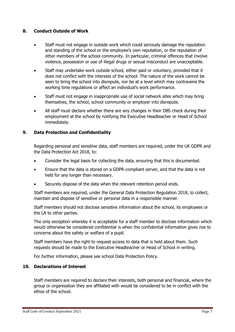## <span id="page-6-0"></span>**8. Conduct Outside of Work**

- Staff must not engage in outside work which could seriously damage the reputation and standing of the school or the employee's own reputation, or the reputation of other members of the school community. In particular, criminal offences that involve violence, possession or use of illegal drugs or sexual misconduct are unacceptable.
- Staff may undertake work outside school, either paid or voluntary, provided that it does not conflict with the interests of the school. The nature of the work cannot be seen to bring the school into disrepute, nor be at a level which may contravene the working time regulations or affect an individual's work performance.
- Staff must not engage in inappropriate use of social network sites which may bring themselves, the school, school community or employer into disrepute.
- All staff must declare whether there are any changes in their DBS check during their employment at the school by notifying the Executive Headteacher or Head of School immediately.

## <span id="page-6-1"></span>**9. Data Protection and Confidentiality**

Regarding personal and sensitive data, staff members are required, under the UK GDPR and the Data Protection Act 2018, to:

- Consider the legal basis for collecting the data, ensuring that this is documented.
- Ensure that the data is stored on a GDPR-compliant server, and that the data is not held for any longer than necessary.
- Securely dispose of the data when the relevant retention period ends.

Staff members are required, under the General Data Protection Regulation 2018, to collect, maintain and dispose of sensitive or personal data in a responsible manner.

Staff members should not disclose sensitive information about the school, its employees or the LA to other parties.

The only exception whereby it is acceptable for a staff member to disclose information which would otherwise be considered confidential is when the confidential information gives rise to concerns about the safety or welfare of a pupil.

Staff members have the right to request access to data that is held about them. Such requests should be made to the Executive Headteacher or Head of School in writing.

For further information, please see school Data Protection Policy.

## <span id="page-6-2"></span>**10. Declarations of Interest**

Staff members are required to declare their interests, both personal and financial, where the group or organisation they are affiliated with would be considered to be in conflict with the ethos of the school.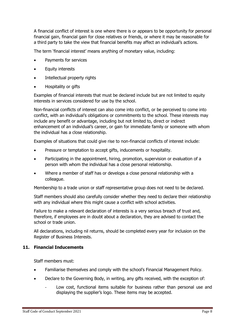A financial conflict of interest is one where there is or appears to be opportunity for personal financial gain, financial gain for close relatives or friends, or where it may be reasonable for a third party to take the view that financial benefits may affect an individual's actions.

The term 'financial interest' means anything of monetary value, including:

- Payments for services
- Equity interests
- Intellectual property rights
- Hospitality or gifts

Examples of financial interests that must be declared include but are not limited to equity interests in services considered for use by the school.

Non-financial conflicts of interest can also come into conflict, or be perceived to come into conflict, with an individual's obligations or commitments to the school. These interests may include any benefit or advantage, including but not limited to, direct or indirect enhancement of an individual's career, or gain for immediate family or someone with whom the individual has a close relationship.

Examples of situations that could give rise to non-financial conflicts of interest include:

- Pressure or temptation to accept gifts, inducements or hospitality.
- Participating in the appointment, hiring, promotion, supervision or evaluation of a person with whom the individual has a close personal relationship.
- Where a member of staff has or develops a close personal relationship with a colleague.

Membership to a trade union or staff representative group does not need to be declared.

Staff members should also carefully consider whether they need to declare their relationship with any individual where this might cause a conflict with school activities.

Failure to make a relevant declaration of interests is a very serious breach of trust and, therefore, if employees are in doubt about a declaration, they are advised to contact the school or trade union.

All declarations, including nil returns, should be completed every year for inclusion on the Register of Business Interests.

## <span id="page-7-0"></span>**11. Financial Inducements**

Staff members must:

- Familiarise themselves and comply with the school's Financial Management Policy.
- Declare to the Governing Body, in writing, any gifts received, with the exception of:
	- Low cost, functional items suitable for business rather than personal use and displaying the supplier's logo. These items may be accepted.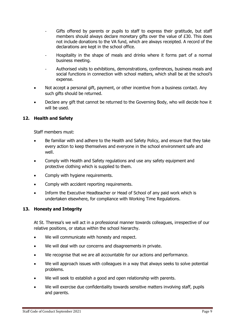- Gifts offered by parents or pupils to staff to express their gratitude, but staff members should always declare monetary gifts over the value of £30. This does not include donations to the VA fund, which are always receipted. A record of the declarations are kept in the school office.
- Hospitality in the shape of meals and drinks where it forms part of a normal business meeting.
- Authorised visits to exhibitions, demonstrations, conferences, business meals and social functions in connection with school matters, which shall be at the school's expense.
- Not accept a personal gift, payment, or other incentive from a business contact. Any such gifts should be returned.
- Declare any gift that cannot be returned to the Governing Body, who will decide how it will be used.

## <span id="page-8-0"></span>**12. Health and Safety**

Staff members must:

- Be familiar with and adhere to the Health and Safety Policy, and ensure that they take every action to keep themselves and everyone in the school environment safe and well.
- Comply with Health and Safety regulations and use any safety equipment and protective clothing which is supplied to them.
- Comply with hygiene requirements.
- Comply with accident reporting requirements.
- Inform the Executive Headteacher or Head of School of any paid work which is undertaken elsewhere, for compliance with Working Time Regulations.

## <span id="page-8-1"></span>**13. Honesty and Integrity**

At St. Theresa's we will act in a professional manner towards colleagues, irrespective of our relative positions, or status within the school hierarchy.

- We will communicate with honesty and respect.
- We will deal with our concerns and disagreements in private.
- We recognise that we are all accountable for our actions and performance.
- We will approach issues with colleagues in a way that always seeks to solve potential problems.
- We will seek to establish a good and open relationship with parents.
- We will exercise due confidentiality towards sensitive matters involving staff, pupils and parents.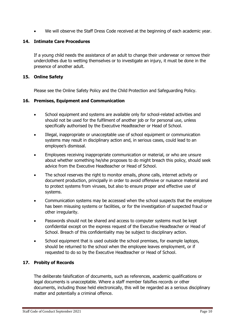We will observe the Staff Dress Code received at the beginning of each academic year.

## <span id="page-9-0"></span>**14. Intimate Care Procedures**

If a young child needs the assistance of an adult to change their underwear or remove their underclothes due to wetting themselves or to investigate an injury, it must be done in the presence of another adult.

## <span id="page-9-1"></span>**15. Online Safety**

Please see the Online Safety Policy and the Child Protection and Safeguarding Policy.

## <span id="page-9-2"></span>**16. Premises, Equipment and Communication**

- School equipment and systems are available only for school-related activities and should not be used for the fulfilment of another job or for personal use, unless specifically authorised by the Executive Headteacher or Head of School.
- Illegal, inappropriate or unacceptable use of school equipment or communication systems may result in disciplinary action and, in serious cases, could lead to an employee's dismissal.
- Employees receiving inappropriate communication or material, or who are unsure about whether something he/she proposes to do might breach this policy, should seek advice from the Executive Headteacher or Head of School.
- The school reserves the right to monitor emails, phone calls, internet activity or document production, principally in order to avoid offensive or nuisance material and to protect systems from viruses, but also to ensure proper and effective use of systems.
- Communication systems may be accessed when the school suspects that the employee has been misusing systems or facilities, or for the investigation of suspected fraud or other irregularity.
- Passwords should not be shared and access to computer systems must be kept confidential except on the express request of the Executive Headteacher or Head of School. Breach of this confidentiality may be subject to disciplinary action.
- School equipment that is used outside the school premises, for example laptops, should be returned to the school when the employee leaves employment, or if requested to do so by the Executive Headteacher or Head of School.

## <span id="page-9-3"></span>**17. Probity of Records**

The deliberate falsification of documents, such as references, academic qualifications or legal documents is unacceptable. Where a staff member falsifies records or other documents, including those held electronically, this will be regarded as a serious disciplinary matter and potentially a criminal offence.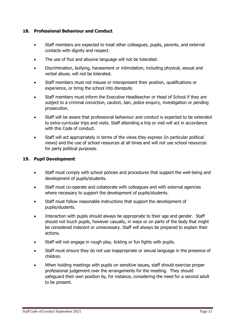## <span id="page-10-0"></span>**18. Professional Behaviour and Conduct**

- Staff members are expected to treat other colleagues, pupils, parents, and external contacts with dignity and respect.
- The use of foul and abusive language will not be tolerated.
- Discrimination, bullying, harassment or intimidation, including physical, sexual and verbal abuse, will not be tolerated.
- Staff members must not misuse or misrepresent their position, qualifications or experience, or bring the school into disrepute.
- Staff members must inform the Executive Headteacher or Head of School if they are subject to a criminal conviction, caution, ban, police enquiry, investigation or pending prosecution.
- Staff will be aware that professional behaviour and conduct is expected to be extended to extra-curricular trips and visits. Staff attending a trip or visit will act in accordance with this Code of conduct.
- Staff will act appropriately in terms of the views they express (in particular political views) and the use of school resources at all times and will not use school resources for party political purposes.

## <span id="page-10-1"></span>**19. Pupil Development**

- Staff must comply with school policies and procedures that support the well-being and development of pupils/students.
- Staff must co-operate and collaborate with colleagues and with external agencies where necessary to support the development of pupils/students.
- Staff must follow reasonable instructions that support the development of pupils/students.
- Interaction with pupils should always be appropriate to their age and gender. Staff should not touch pupils, however casually, in ways or on parts of the body that might be considered indecent or unnecessary. Staff will always be prepared to explain their actions.
- Staff will not engage in rough play, tickling or fun fights with pupils.
- Staff must ensure they do not use inappropriate or sexual language in the presence of children.
- When holding meetings with pupils on sensitive issues, staff should exercise proper professional judgement over the arrangements for the meeting. They should safeguard their own position by, for instance, considering the need for a second adult to be present.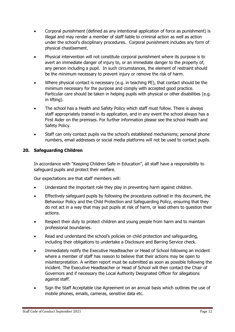- Corporal punishment (defined as any intentional application of force as punishment) is illegal and may render a member of staff liable to criminal action as well as action under the school's disciplinary procedures. Corporal punishment includes any form of physical chastisement.
- Physical intervention will not constitute corporal punishment where its purpose is to avert an immediate danger of injury to, or an immediate danger to the property of, any person including a pupil. In such circumstances, the element of restraint should be the minimum necessary to prevent injury or remove the risk of harm.
- Where physical contact is necessary (e.g. in teaching PE), that contact should be the minimum necessary for the purpose and comply with accepted good practice. Particular care should be taken in helping pupils with physical or other disabilities (e.g. in lifting).
- The school has a Health and Safety Policy which staff must follow. There is always staff appropriately trained in its application, and in any event the school always has a First Aider on the premises. For further information please see the school Health and Safety Policy.
- Staff can only contact pupils via the school's established mechanisms; personal phone numbers, email addresses or social media platforms will not be used to contact pupils.

## <span id="page-11-0"></span>**20. Safeguarding Children**

In accordance with "Keeping Children Safe in Education", all staff have a responsibility to safeguard pupils and protect their welfare.

Our expectations are that staff members will:

- Understand the important role they play in preventing harm against children.
- Effectively safeguard pupils by following the procedures outlined in this document, the Behaviour Policy and the Child Protection and Safeguarding Policy, ensuring that they do not act in a way that may put pupils at risk of harm, or lead others to question their actions.
- Respect their duty to protect children and young people from harm and to maintain professional boundaries.
- Read and understand the school's policies on child protection and safeguarding, including their obligations to undertake a Disclosure and Barring Service check.
- Immediately notify the Executive Headteacher or Head of School following an incident where a member of staff has reason to believe that their actions may be open to misinterpretation. A written report must be submitted as soon as possible following the incident. The Executive Headteacher or Head of School will then contact the Chair of Governors and if necessary the Local Authority Designated Officer for allegations against staff.
- Sign the Staff Acceptable Use Agreement on an annual basis which outlines the use of mobile phones, emails, cameras, sensitive data etc.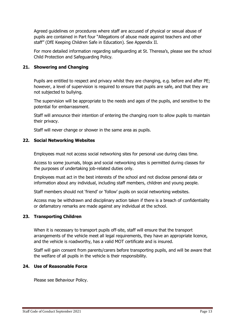Agreed guidelines on procedures where staff are accused of physical or sexual abuse of pupils are contained in Part four "Allegations of abuse made against teachers and other staff" (DfE Keeping Children Safe in Education). See Appendix II.

For more detailed information regarding safeguarding at St. Theresa's, please see the school Child Protection and Safeguarding Policy.

## <span id="page-12-0"></span>**21. Showering and Changing**

Pupils are entitled to respect and privacy whilst they are changing, e.g. before and after PE; however, a level of supervision is required to ensure that pupils are safe, and that they are not subjected to bullying.

The supervision will be appropriate to the needs and ages of the pupils, and sensitive to the potential for embarrassment.

Staff will announce their intention of entering the changing room to allow pupils to maintain their privacy.

Staff will never change or shower in the same area as pupils.

## <span id="page-12-1"></span>**22. Social Networking Websites**

Employees must not access social networking sites for personal use during class time.

Access to some journals, blogs and social networking sites is permitted during classes for the purposes of undertaking job-related duties only.

Employees must act in the best interests of the school and not disclose personal data or information about any individual, including staff members, children and young people.

Staff members should not 'friend' or 'follow' pupils on social networking websites.

Access may be withdrawn and disciplinary action taken if there is a breach of confidentiality or defamatory remarks are made against any individual at the school.

## <span id="page-12-2"></span>**23. Transporting Children**

When it is necessary to transport pupils off-site, staff will ensure that the transport arrangements of the vehicle meet all legal requirements, they have an appropriate licence, and the vehicle is roadworthy, has a valid MOT certificate and is insured.

Staff will gain consent from parents/carers before transporting pupils, and will be aware that the welfare of all pupils in the vehicle is their responsibility.

## <span id="page-12-3"></span>**24. Use of Reasonable Force**

Please see Behaviour Policy.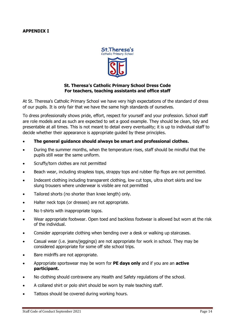#### <span id="page-13-0"></span>**APPENDIX I**



## **St. Theresa's Catholic Primary School Dress Code For teachers, teaching assistants and office staff**

At St. Theresa's Catholic Primary School we have very high expectations of the standard of dress of our pupils. It is only fair that we have the same high standards of ourselves.

To dress professionally shows pride, effort, respect for yourself and your profession. School staff are role models and as such are expected to set a good example. They should be clean, tidy and presentable at all times. This is not meant to detail every eventuality; it is up to individual staff to decide whether their appearance is appropriate guided by these principles.

- **The general guidance should always be smart and professional clothes.**
- During the summer months, when the temperature rises, staff should be mindful that the pupils still wear the same uniform.
- Scruffy/torn clothes are not permitted
- Beach wear, including strapless tops, strappy tops and rubber flip flops are not permitted.
- Indecent clothing including transparent clothing, low cut tops, ultra short skirts and low slung trousers where underwear is visible are not permitted
- Tailored shorts (no shorter than knee length) only.
- Halter neck tops (or dresses) are not appropriate.
- No t-shirts with inappropriate logos.
- Wear appropriate footwear. Open toed and backless footwear is allowed but worn at the risk of the individual.
- Consider appropriate clothing when bending over a desk or walking up staircases.
- Casual wear (i.e. jeans/jeggings) are not appropriate for work in school. They may be considered appropriate for some off site school trips.
- Bare midriffs are not appropriate.
- Appropriate sportswear may be worn for **PE days only** and if you are an **active participant.**
- No clothing should contravene any Health and Safety regulations of the school.
- A collared shirt or polo shirt should be worn by male teaching staff.
- Tattoos should be covered during working hours.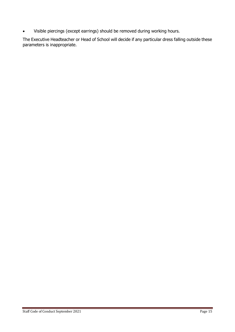Visible piercings (except earrings) should be removed during working hours.

The Executive Headteacher or Head of School will decide if any particular dress falling outside these parameters is inappropriate.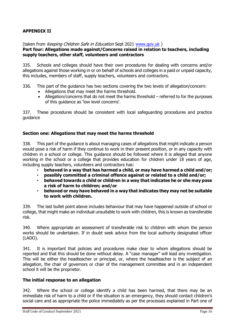## <span id="page-15-0"></span>**APPENDIX II**

(taken from Keeping Children Safe in Education Sept 2021 [www.gov.uk](http://www.gov.uk/))

#### **Part four: Allegations made against/Concerns raised in relation to teachers, including supply teachers, other staff, volunteers and contractors**

335. Schools and colleges should have their own procedures for dealing with concerns and/or allegations against those working in or on behalf of schools and colleges in a paid or unpaid capacity, this includes, members of staff, supply teachers, volunteers and contractors.

- 336. This part of the guidance has two sections covering the two levels of allegation/concern:
	- Allegations that may meet the harms threshold.
	- Allegation/concerns that do not meet the harms threshold referred to for the purposes of this guidance as 'low level concerns'.

337. These procedures should be consistent with local safeguarding procedures and practice guidance

## **Section one: Allegations that may meet the harms threshold**

338. This part of the guidance is about managing cases of allegations that might indicate a person would pose a risk of harm if they continue to work in their present position, or in any capacity with children in a school or college. This guidance should be followed where it is alleged that anyone working in the school or a college that provides education for children under 18 years of age, including supply teachers, volunteers and contractors has:

- **behaved in a way that has harmed a child, or may have harmed a child and/or;**
- **possibly committed a criminal offence against or related to a child and/or;**
- **behaved towards a child or children in a way that indicates he or she may pose a risk of harm to children; and/or**
- **behaved or may have behaved in a way that indicates they may not be suitable to work with children.**

339. The last bullet point above includes behaviour that may have happened outside of school or college, that might make an individual unsuitable to work with children, this is known as transferable risk.

340. Where appropriate an assessment of transferable risk to children with whom the person works should be undertaken. If in doubt seek advice from the local authority designated officer (LADO).

341. It is important that policies and procedures make clear to whom allegations should be reported and that this should be done without delay. A "case manager" will lead any investigation. This will be either the headteacher or principal, or, where the headteacher is the subject of an allegation, the chair of governors or chair of the management committee and in an independent school it will be the proprietor.

#### **The initial response to an allegation**

342. Where the school or college identify a child has been harmed, that there may be an immediate risk of harm to a child or if the situation is an emergency, they should contact children's social care and as appropriate the police immediately as per the processes explained in Part one of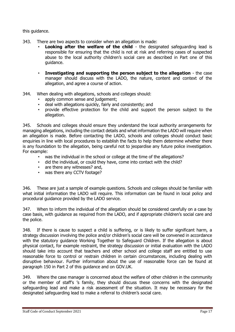this guidance.

- 343. There are two aspects to consider when an allegation is made:
	- **Looking after the welfare of the child** the designated safeguarding lead is responsible for ensuring that the child is not at risk and referring cases of suspected abuse to the local authority children's social care as described in Part one of this guidance.
	- **Investigating and supporting the person subject to the allegation** the case manager should discuss with the LADO, the nature, content and context of the allegation, and agree a course of action.
- 344. When dealing with allegations, schools and colleges should:
	- apply common sense and judgement;
	- deal with allegations quickly, fairly and consistently; and
	- provide effective protection for the child and support the person subject to the allegation.

345. Schools and colleges should ensure they understand the local authority arrangements for managing allegations, including the contact details and what information the LADO will require when an allegation is made. Before contacting the LADO, schools and colleges should conduct basic enquiries in line with local procedures to establish the facts to help them determine whether there is any foundation to the allegation, being careful not to jeopardise any future police investigation. For example:

- was the individual in the school or college at the time of the allegations?
- did the individual, or could they have, come into contact with the child?
- are there any witnesses? and,
- was there any CCTV footage?

346. These are just a sample of example questions. Schools and colleges should be familiar with what initial information the LADO will require. This information can be found in local policy and procedural guidance provided by the LADO service.

347. When to inform the individual of the allegation should be considered carefully on a case by case basis, with guidance as required from the LADO, and if appropriate children's social care and the police.

348. If there is cause to suspect a child is suffering, or is likely to suffer significant harm, a strategy discussion involving the police and/or children's social care will be convened in accordance with the statutory guidance Working Together to Safeguard Children. If the allegation is about physical contact, for example restraint, the strategy discussion or initial evaluation with the LADO should take into account that teachers and other school and college staff are entitled to use reasonable force to control or restrain children in certain circumstances, including dealing with disruptive behaviour. Further information about the use of reasonable force can be found at paragraph 150 in Part 2 of this guidance and on GOV.UK.

349. Where the case manager is concerned about the welfare of other children in the community or the member of staff's 's family, they should discuss these concerns with the designated safeguarding lead and make a risk assessment of the situation. It may be necessary for the designated safeguarding lead to make a referral to children's social care.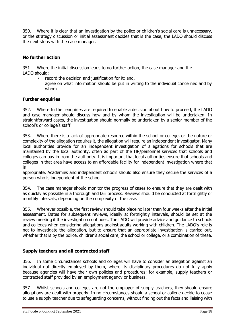350. Where it is clear that an investigation by the police or children's social care is unnecessary, or the strategy discussion or initial assessment decides that is the case, the LADO should discuss the next steps with the case manager.

## **No further action**

351. Where the initial discussion leads to no further action, the case manager and the LADO should:

- record the decision and justification for it; and,
	- agree on what information should be put in writing to the individual concerned and by whom.

## **Further enquiries**

352. Where further enquiries are required to enable a decision about how to proceed, the LADO and case manager should discuss how and by whom the investigation will be undertaken. In straightforward cases, the investigation should normally be undertaken by a senior member of the school's or college's staff.

353. Where there is a lack of appropriate resource within the school or college, or the nature or complexity of the allegation requires it, the allegation will require an independent investigator. Many local authorities provide for an independent investigation of allegations for schools that are maintained by the local authority, often as part of the HR/personnel services that schools and colleges can buy in from the authority. It is important that local authorities ensure that schools and colleges in that area have access to an affordable facility for independent investigation where that is

appropriate. Academies and independent schools should also ensure they secure the services of a person who is independent of the school.

354. The case manager should monitor the progress of cases to ensure that they are dealt with as quickly as possible in a thorough and fair process. Reviews should be conducted at fortnightly or monthly intervals, depending on the complexity of the case.

355. Wherever possible, the first review should take place no later than four weeks after the initial assessment. Dates for subsequent reviews, ideally at fortnightly intervals, should be set at the review meeting if the investigation continues. The LADO will provide advice and guidance to schools and colleges when considering allegations against adults working with children. The LADO's role is not to investigate the allegation, but to ensure that an appropriate investigation is carried out, whether that is by the police, children's social care, the school or college, or a combination of these.

## **Supply teachers and all contracted staff**

356. In some circumstances schools and colleges will have to consider an allegation against an individual not directly employed by them, where its disciplinary procedures do not fully apply because agencies will have their own policies and procedures; for example, supply teachers or contracted staff provided by an employment agency or business.

357. Whilst schools and colleges are not the employer of supply teachers, they should ensure allegations are dealt with properly. In no circumstances should a school or college decide to cease to use a supply teacher due to safeguarding concerns, without finding out the facts and liaising with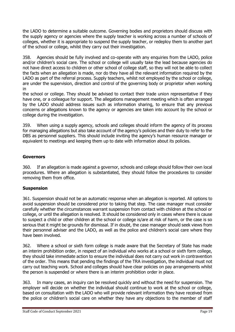the LADO to determine a suitable outcome. Governing bodies and proprietors should discuss with the supply agency or agencies where the supply teacher is working across a number of schools of colleges, whether it is appropriate to suspend the supply teacher, or redeploy them to another part of the school or college, whilst they carry out their investigation.

358. Agencies should be fully involved and co-operate with any enquiries from the LADO, police and/or children's social care. The school or college will usually take the lead because agencies do not have direct access to children or other school of college staff, so they will not be able to collect the facts when an allegation is made, nor do they have all the relevant information required by the LADO as part of the referral process. Supply teachers, whilst not employed by the school or college, are under the supervision, direction and control of the governing body or proprietor when working in

the school or college. They should be advised to contact their trade union representative if they have one, or a colleague for support. The allegations management meeting which is often arranged by the LADO should address issues such as information sharing, to ensure that any previous concerns or allegations known to the agency or agencies are taken into account by the school or college during the investigation.

359. When using a supply agency, schools and colleges should inform the agency of its process for managing allegations but also take account of the agency's policies and their duty to refer to the DBS as personnel suppliers. This should include inviting the agency's human resource manager or equivalent to meetings and keeping them up to date with information about its policies.

## **Governors**

360. If an allegation is made against a governor, schools and college should follow their own local procedures. Where an allegation is substantiated, they should follow the procedures to consider removing them from office.

## **Suspension**

361. Suspension should not be an automatic response when an allegation is reported. All options to avoid suspension should be considered prior to taking that step. The case manager must consider carefully whether the circumstances warrant suspension from contact with children at the school or college, or until the allegation is resolved. It should be considered only in cases where there is cause to suspect a child or other children at the school or college is/are at risk of harm, or the case is so serious that it might be grounds for dismissal. If in doubt, the case manager should seek views from their personnel adviser and the LADO, as well as the police and children's social care where they have been involved.

362. Where a school or sixth form college is made aware that the Secretary of State has made an interim prohibition order, in respect of an individual who works at a school or sixth form college, they should take immediate action to ensure the individual does not carry out work in contravention of the order. This means that pending the findings of the TRA investigation, the individual must not carry out teaching work. School and colleges should have clear policies on pay arrangements whilst the person is suspended or where there is an interim prohibition order in place.

363. In many cases, an inquiry can be resolved quickly and without the need for suspension. The employer will decide on whether the individual should continue to work at the school or college, based on consultation with the LADO who will provide relevant information they have received from the police or children's social care on whether they have any objections to the member of staff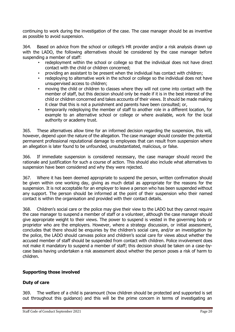continuing to work during the investigation of the case. The case manager should be as inventive as possible to avoid suspension.

364. Based on advice from the school or college's HR provider and/or a risk analysis drawn up with the LADO, the following alternatives should be considered by the case manager before suspending a member of staff:

- redeployment within the school or college so that the individual does not have direct contact with the child or children concerned;
- providing an assistant to be present when the individual has contact with children;
- redeploying to alternative work in the school or college so the individual does not have unsupervised access to children;
- moving the child or children to classes where they will not come into contact with the member of staff, but this decision should only be made if it is in the best interest of the child or children concerned and takes accounts of their views. It should be made making it clear that this is not a punishment and parents have been consulted; or,
- temporarily redeploying the member of staff to another role in a different location, for example to an alternative school or college or where available, work for the local authority or academy trust.

365. These alternatives allow time for an informed decision regarding the suspension, this will, however, depend upon the nature of the allegation. The case manager should consider the potential permanent professional reputational damage to employees that can result from suspension where an allegation is later found to be unfounded, unsubstantiated, malicious, or false.

366. If immediate suspension is considered necessary, the case manager should record the rationale and justification for such a course of action. This should also include what alternatives to suspension have been considered and why they were rejected.

367. Where it has been deemed appropriate to suspend the person, written confirmation should be given within one working day, giving as much detail as appropriate for the reasons for the suspension. It is not acceptable for an employer to leave a person who has been suspended without any support. The person should be informed at the point of their suspension who their named contact is within the organisation and provided with their contact details.

368. Children's social care or the police may give their view to the LADO but they cannot require the case manager to suspend a member of staff or a volunteer, although the case manager should give appropriate weight to their views. The power to suspend is vested in the governing body or proprietor who are the employers. However, where a strategy discussion, or initial assessment, concludes that there should be enquiries by the children's social care, and/or an investigation by the police, the LADO should canvass police and children's social care for views about whether the accused member of staff should be suspended from contact with children. Police involvement does not make it mandatory to suspend a member of staff; this decision should be taken on a case-bycase basis having undertaken a risk assessment about whether the person poses a risk of harm to children.

## **Supporting those involved**

## **Duty of care**

369. The welfare of a child is paramount (how children should be protected and supported is set out throughout this guidance) and this will be the prime concern in terms of investigating an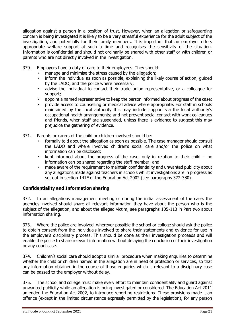allegation against a person in a position of trust. However, when an allegation or safeguarding concern is being investigated it is likely to be a very stressful experience for the adult subject of the investigation, and potentially for their family members. It is important that an employer offers appropriate welfare support at such a time and recognises the sensitivity of the situation. Information is confidential and should not ordinarily be shared with other staff or with children or parents who are not directly involved in the investigation.

- 370. Employers have a duty of care to their employees. They should:
	- manage and minimise the stress caused by the allegation;
	- inform the individual as soon as possible, explaining the likely course of action, guided by the LADO, and the police where necessary;
	- advise the individual to contact their trade union representative, or a colleague for support;
	- appoint a named representative to keep the person informed about progress of the case;
	- provide access to counselling or medical advice where appropriate. For staff in schools maintained by the local authority this may include support via the local authority's occupational health arrangements; and not prevent social contact with work colleagues and friends, when staff are suspended, unless there is evidence to suggest this may prejudice the gathering of evidence.
- 371. Parents or carers of the child or children involved should be:
	- formally told about the allegation as soon as possible. The case manager should consult the LADO and where involved children's social care and/or the police on what information can be disclosed;
	- kept informed about the progress of the case, only in relation to their child no information can be shared regarding the staff member; and
	- made aware of the requirement to maintain confidentiality and unwanted publicity about any allegations made against teachers in schools whilst investigations are in progress as set out in section 141F of the Education Act 2002 (see paragraphs 372-380).

## **Confidentiality and Information sharing**

372. In an allegations management meeting or during the initial assessment of the case, the agencies involved should share all relevant information they have about the person who is the subject of the allegation, and about the alleged victim, see paragraphs 105-113 in Part two about information sharing.

373. Where the police are involved, wherever possible the school or college should ask the police to obtain consent from the individuals involved to share their statements and evidence for use in the employer's disciplinary process. This should be done as their investigation proceeds and will enable the police to share relevant information without delaying the conclusion of their investigation or any court case.

374. Children's social care should adopt a similar procedure when making enquiries to determine whether the child or children named in the allegation are in need of protection or services, so that any information obtained in the course of those enquiries which is relevant to a disciplinary case can be passed to the employer without delay.

375. The school and college must make every effort to maintain confidentiality and guard against unwanted publicity while an allegation is being investigated or considered. The Education Act 2011 amended the Education Act 2002, to introduce reporting restrictions. These provisions made it an offence (except in the limited circumstance expressly permitted by the legislation), for any person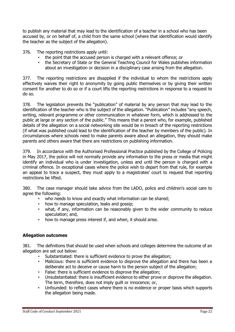to publish any material that may lead to the identification of a teacher in a school who has been accused by, or on behalf of, a child from the same school (where that identification would identify the teacher as the subject of the allegation).

376. The reporting restrictions apply until:

- the point that the accused person is charged with a relevant offence; or
- the Secretary of State or the General Teaching Council for Wales publishes information about an investigation or decision in a disciplinary case arising from the allegation.

377. The reporting restrictions are disapplied if the individual to whom the restrictions apply effectively waives their right to anonymity by going public themselves or by giving their written consent for another to do so or if a court lifts the reporting restrictions in response to a request to do so.

378. The legislation prevents the "publication" of material by any person that may lead to the identification of the teacher who is the subject of the allegation. "Publication" includes "any speech, writing, relevant programme or other communication in whatever form, which is addressed to the public at large or any section of the public." This means that a parent who, for example, published details of the allegation on a social networking site would be in breach of the reporting restrictions (if what was published could lead to the identification of the teacher by members of the public). In circumstances where schools need to make parents aware about an allegation, they should make parents and others aware that there are restrictions on publishing information.

379. In accordance with the Authorised Professional Practice published by the College of Policing in May 2017, the police will not normally provide any information to the press or media that might identify an individual who is under investigation, unless and until the person is charged with a criminal offence. In exceptional cases where the police wish to depart from that rule, for example an appeal to trace a suspect, they must apply to a magistrates' court to request that reporting restrictions be lifted.

380. The case manager should take advice from the LADO, police and children's social care to agree the following:

- who needs to know and exactly what information can be shared;
- how to manage speculation, leaks and gossip;
- what, if any, information can be reasonably given to the wider community to reduce speculation; and,
- how to manage press interest if, and when, it should arise.

## **Allegation outcomes**

381. The definitions that should be used when schools and colleges determine the outcome of an allegation are set out below:

- Substantiated: there is sufficient evidence to prove the allegation;
- Malicious: there is sufficient evidence to disprove the allegation and there has been a deliberate act to deceive or cause harm to the person subject of the allegation;
- False: there is sufficient evidence to disprove the allegation;
- Unsubstantiated: there is insufficient evidence to either prove or disprove the allegation. The term, therefore, does not imply guilt or innocence; or,
- Unfounded: to reflect cases where there is no evidence or proper basis which supports the allegation being made.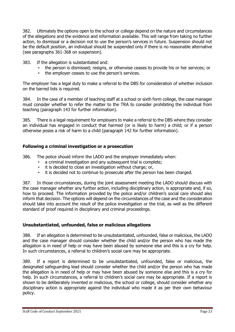382. Ultimately the options open to the school or college depend on the nature and circumstances of the allegations and the evidence and information available. This will range from taking no further action, to dismissal or a decision not to use the person's services in future. Suspension should not be the default position, an individual should be suspended only if there is no reasonable alternative (see paragraphs 361-368 on suspension).

- 383. If the allegation is substantiated and:
	- the person is dismissed; resigns, or otherwise ceases to provide his or her services; or
	- the employer ceases to use the person's services.

The employer has a legal duty to make a referral to the DBS for consideration of whether inclusion on the barred lists is required.

384. In the case of a member of teaching staff at a school or sixth form college, the case manager must consider whether to refer the matter to the TRA to consider prohibiting the individual from teaching (paragraph 143 for further information).

385. There is a legal requirement for employers to make a referral to the DBS where they consider an individual has engaged in conduct that harmed (or is likely to harm) a child; or if a person otherwise poses a risk of harm to a child (paragraph 142 for further information).

## **Following a criminal investigation or a prosecution**

386. The police should inform the LADO and the employer immediately when:

- a criminal investigation and any subsequent trial is complete;
- it is decided to close an investigation without charge; or,
- it is decided not to continue to prosecute after the person has been charged.

387. In those circumstances, during the joint assessment meeting the LADO should discuss with the case manager whether any further action, including disciplinary action, is appropriate and, if so, how to proceed. The information provided by the police and/or children's social care should also inform that decision. The options will depend on the circumstances of the case and the consideration should take into account the result of the police investigation or the trial, as well as the different standard of proof required in disciplinary and criminal proceedings.

## **Unsubstantiated, unfounded, false or malicious allegations**

388. If an allegation is determined to be unsubstantiated, unfounded, false or malicious, the LADO and the case manager should consider whether the child and/or the person who has made the allegation is in need of help or may have been abused by someone else and this is a cry for help. In such circumstances, a referral to children's social care may be appropriate.

389. If a report is determined to be unsubstantiated, unfounded, false or malicious, the designated safeguarding lead should consider whether the child and/or the person who has made the allegation is in need of help or may have been abused by someone else and this is a cry for help. In such circumstances, a referral to children's social care may be appropriate. If a report is shown to be deliberately invented or malicious, the school or college, should consider whether any disciplinary action is appropriate against the individual who made it as per their own behaviour policy.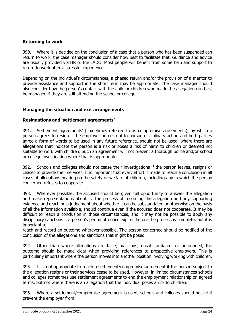## **Returning to work**

390. Where it is decided on the conclusion of a case that a person who has been suspended can return to work, the case manager should consider how best to facilitate that. Guidance and advice are usually provided via HR or the LADO. Most people will benefit from some help and support to return to work after a stressful experience.

Depending on the individual's circumstances, a phased return and/or the provision of a mentor to provide assistance and support in the short term may be appropriate. The case manager should also consider how the person's contact with the child or children who made the allegation can best be managed if they are still attending the school or college.

## **Managing the situation and exit arrangements**

## **Resignations and 'settlement agreements'**

391. Settlement agreements' (sometimes referred to as compromise agreements), by which a person agrees to resign if the employer agrees not to pursue disciplinary action and both parties agree a form of words to be used in any future reference, should not be used, where there are allegations that indicate the person is a risk or poses a risk of harm to children or deemed not suitable to work with children. Such an agreement will not prevent a thorough police and/or school or college investigation where that is appropriate.

392. Schools and colleges should not cease their investigations if the person leaves, resigns or ceases to provide their services. It is important that every effort is made to reach a conclusion in all cases of allegations bearing on the safety or welfare of children, including any in which the person concerned refuses to cooperate.

393. Wherever possible, the accused should be given full opportunity to answer the allegation and make representations about it. The process of recording the allegation and any supporting evidence and reaching a judgement about whether it can be substantiated or otherwise on the basis of all the information available, should continue even if the accused does not cooperate. It may be difficult to reach a conclusion in those circumstances, and it may not be possible to apply any disciplinary sanctions if a person's period of notice expires before the process is complete, but it is important to

reach and record an outcome wherever possible. The person concerned should be notified of the conclusion of the allegations and sanctions that might be posed.

394. Other than where allegations are false, malicious, unsubstantiated, or unfounded, the outcome should be made clear when providing references to prospective employers. This is particularly important where the person moves into another position involving working with children.

395. It is not appropriate to reach a settlement/compromise agreement if the person subject to the allegation resigns or their services cease to be used. However, in limited circumstances schools and colleges sometimes use settlement agreements to end the employment relationship on agreed terms, but not where there is an allegation that the individual poses a risk to children.

396. Where a settlement/compromise agreement is used, schools and colleges should not let it prevent the employer from: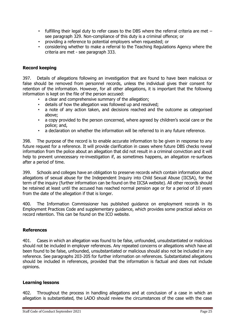- fulfilling their legal duty to refer cases to the DBS where the referral criteria are met  $$ see paragraph 329. Non-compliance of this duty is a criminal offence; or
- providing a reference to potential employers when requested; or
- considering whether to make a referral to the Teaching Regulations Agency where the criteria are met - see paragraph 333.

## **Record keeping**

397. Details of allegations following an investigation that are found to have been malicious or false should be removed from personnel records, unless the individual gives their consent for retention of the information. However, for all other allegations, it is important that the following information is kept on the file of the person accused:

- a clear and comprehensive summary of the allegation;
- details of how the allegation was followed up and resolved;
- a note of any action taken, and decisions reached and the outcome as categorised above;
- a copy provided to the person concerned, where agreed by children's social care or the police; and,
- a declaration on whether the information will be referred to in any future reference.

398. The purpose of the record is to enable accurate information to be given in response to any future request for a reference. It will provide clarification in cases where future DBS checks reveal information from the police about an allegation that did not result in a criminal conviction and it will help to prevent unnecessary re-investigation if, as sometimes happens, an allegation re-surfaces after a period of time.

399. Schools and colleges have an obligation to preserve records which contain information about allegations of sexual abuse for the Independent Inquiry into Child Sexual Abuse (IICSA), for the term of the inquiry (further information can be found on the IICSA website). All other records should be retained at least until the accused has reached normal pension age or for a period of 10 years from the date of the allegation if that is longer.

400. The Information Commissioner has published guidance on employment records in its Employment Practices Code and supplementary guidance, which provides some practical advice on record retention. This can be found on the ICO website.

## **References**

401. Cases in which an allegation was found to be false, unfounded, unsubstantiated or malicious should not be included in employer references. Any repeated concerns or allegations which have all been found to be false, unfounded, unsubstantiated or malicious should also not be included in any reference. See paragraphs 203-205 for further information on references. Substantiated allegations should be included in references, provided that the information is factual and does not include opinions.

## **Learning lessons**

402. Throughout the process in handling allegations and at conclusion of a case in which an allegation is substantiated, the LADO should review the circumstances of the case with the case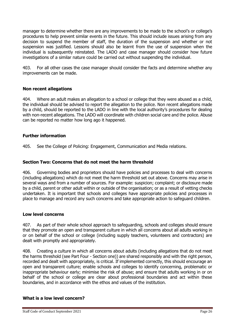manager to determine whether there are any improvements to be made to the school's or college's procedures to help prevent similar events in the future. This should include issues arising from any decision to suspend the member of staff, the duration of the suspension and whether or not suspension was justified. Lessons should also be learnt from the use of suspension when the individual is subsequently reinstated. The LADO and case manager should consider how future investigations of a similar nature could be carried out without suspending the individual.

403. For all other cases the case manager should consider the facts and determine whether any improvements can be made.

## **Non recent allegations**

404. Where an adult makes an allegation to a school or college that they were abused as a child, the individual should be advised to report the allegation to the police. Non recent allegations made by a child, should be reported to the LADO in line with the local authority's procedures for dealing with non-recent allegations. The LADO will coordinate with children social care and the police. Abuse can be reported no matter how long ago it happened.

## **Further information**

405. See the College of Policing: Engagement, Communication and Media relations.

## **Section Two: Concerns that do not meet the harm threshold**

406. Governing bodies and proprietors should have policies and processes to deal with concerns (including allegations) which do not meet the harm threshold set out above. Concerns may arise in several ways and from a number of sources. For example: suspicion; complaint; or disclosure made by a child, parent or other adult within or outside of the organisation; or as a result of vetting checks undertaken. It is important that schools and colleges have appropriate policies and processes in place to manage and record any such concerns and take appropriate action to safeguard children.

## **Low level concerns**

407. As part of their whole school approach to safeguarding, schools and colleges should ensure that they promote an open and transparent culture in which all concerns about all adults working in or on behalf of the school or college (including supply teachers, volunteers and contractors) are dealt with promptly and appropriately.

408. Creating a culture in which all concerns about adults (including allegations that do not meet the harms threshold (see Part Four - Section one)) are shared responsibly and with the right person, recorded and dealt with appropriately, is critical. If implemented correctly, this should encourage an open and transparent culture; enable schools and colleges to identify concerning, problematic or inappropriate behaviour early; minimise the risk of abuse; and ensure that adults working in or on behalf of the school or college are clear about professional boundaries and act within these boundaries, and in accordance with the ethos and values of the institution.

## **What is a low level concern?**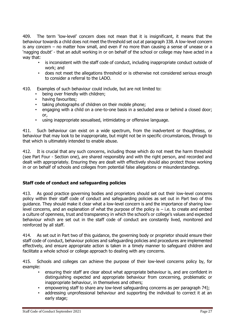409. The term 'low-level' concern does not mean that it is insignificant, it means that the behaviour towards a child does not meet the threshold set out at paragraph 338. A low-level concern is any concern – no matter how small, and even if no more than causing a sense of unease or a 'nagging doubt' - that an adult working in or on behalf of the school or college may have acted in a way that:

- is inconsistent with the staff code of conduct, including inappropriate conduct outside of work; and
- does not meet the allegations threshold or is otherwise not considered serious enough to consider a referral to the LADO.
- 410. Examples of such behaviour could include, but are not limited to:
	- being over friendly with children;
	- having favourites;
	- taking photographs of children on their mobile phone;
	- engaging with a child on a one-to-one basis in a secluded area or behind a closed door; or,
	- using inappropriate sexualised, intimidating or offensive language.

411. Such behaviour can exist on a wide spectrum, from the inadvertent or thoughtless, or behaviour that may look to be inappropriate, but might not be in specific circumstances, through to that which is ultimately intended to enable abuse.

412. It is crucial that any such concerns, including those which do not meet the harm threshold (see Part Four - Section one), are shared responsibly and with the right person, and recorded and dealt with appropriately. Ensuring they are dealt with effectively should also protect those working in or on behalf of schools and colleges from potential false allegations or misunderstandings.

## **Staff code of conduct and safeguarding policies**

413. As good practice governing bodies and proprietors should set out their low-level concerns policy within their staff code of conduct and safeguarding policies as set out in Part two of this guidance. They should make it clear what a low-level concern is and the importance of sharing lowlevel concerns, and an explanation of what the purpose of the policy is  $-$  i.e. to create and embed a culture of openness, trust and transparency in which the school's or college's values and expected behaviour which are set out in the staff code of conduct are constantly lived, monitored and reinforced by all staff.

414. As set out in Part two of this guidance, the governing body or proprietor should ensure their staff code of conduct, behaviour policies and safeguarding policies and procedures are implemented effectively, and ensure appropriate action is taken in a timely manner to safeguard children and facilitate a whole school or college approach to dealing with any concerns.

415. Schools and colleges can achieve the purpose of their low-level concerns policy by, for example:

- ensuring their staff are clear about what appropriate behaviour is, and are confident in distinguishing expected and appropriate behaviour from concerning, problematic or inappropriate behaviour, in themselves and others;
- empowering staff to share any low-level safeguarding concerns as per paragraph 74);
- addressing unprofessional behaviour and supporting the individual to correct it at an early stage;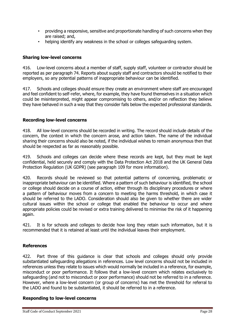- providing a responsive, sensitive and proportionate handling of such concerns when they are raised; and,
- helping identify any weakness in the school or colleges safeguarding system.

## **Sharing low-level concerns**

416. Low-level concerns about a member of staff, supply staff, volunteer or contractor should be reported as per paragraph 74. Reports about supply staff and contractors should be notified to their employers, so any potential patterns of inappropriate behaviour can be identified.

417. Schools and colleges should ensure they create an environment where staff are encouraged and feel confident to self-refer, where, for example, they have found themselves in a situation which could be misinterpreted, might appear compromising to others, and/or on reflection they believe they have behaved in such a way that they consider falls below the expected professional standards.

## **Recording low-level concerns**

418. All low-level concerns should be recorded in writing. The record should include details of the concern, the context in which the concern arose, and action taken. The name of the individual sharing their concerns should also be noted, if the individual wishes to remain anonymous then that should be respected as far as reasonably possible.

419. Schools and colleges can decide where these records are kept, but they must be kept confidential, held securely and comply with the Data Protection Act 2018 and the UK General Data Protection Regulation (UK GDPR) (see paragraph 109 for more information).

420. Records should be reviewed so that potential patterns of concerning, problematic or inappropriate behaviour can be identified. Where a pattern of such behaviour is identified, the school or college should decide on a course of action, either through its disciplinary procedures or where a pattern of behaviour moves from a concern to meeting the harms threshold, in which case it should be referred to the LADO. Consideration should also be given to whether there are wider cultural issues within the school or college that enabled the behaviour to occur and where appropriate policies could be revised or extra training delivered to minimise the risk of it happening again.

421. It is for schools and colleges to decide how long they retain such information, but it is recommended that it is retained at least until the individual leaves their employment.

## **References**

422. Part three of this guidance is clear that schools and colleges should only provide substantiated safeguarding allegations in references. Low level concerns should not be included in references unless they relate to issues which would normally be included in a reference, for example, misconduct or poor performance. It follows that a low-level concern which relates exclusively to safeguarding (and not to misconduct or poor performance) should not be referred to in a reference. However, where a low-level concern (or group of concerns) has met the threshold for referral to the LADO and found to be substantiated, it should be referred to in a reference.

## **Responding to low-level concerns**